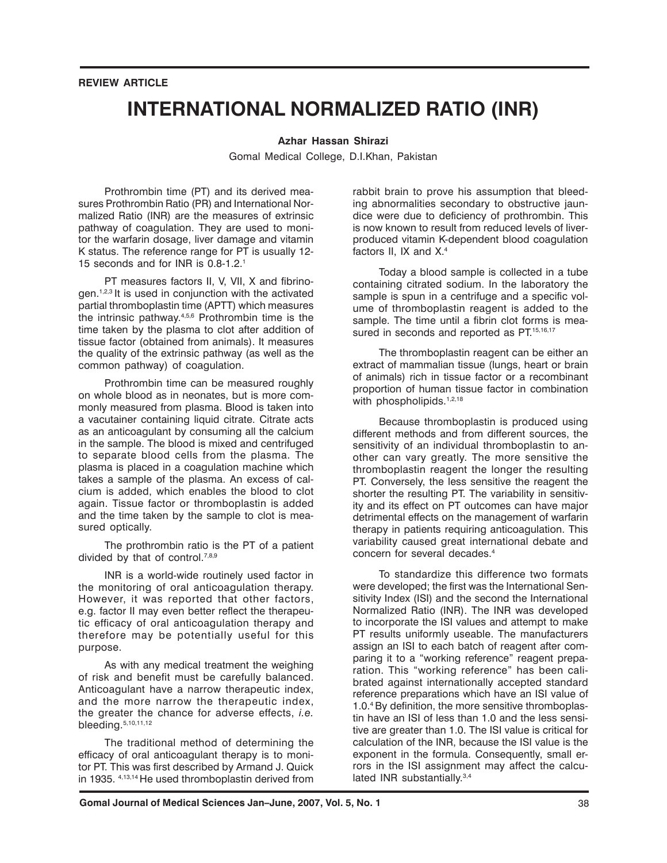### **REVIEW ARTICLE**

# **INTERNATIONAL NORMALIZED RATIO (INR)**

#### **Azhar Hassan Shirazi**

Gomal Medical College, D.I.Khan, Pakistan

Prothrombin time (PT) and its derived measures Prothrombin Ratio (PR) and International Normalized Ratio (INR) are the measures of extrinsic pathway of coagulation. They are used to monitor the warfarin dosage, liver damage and vitamin K status. The reference range for PT is usually 12- 15 seconds and for INR is 0.8-1.2.1

PT measures factors II, V, VII, X and fibrinogen.1,2,3 It is used in conjunction with the activated partial thromboplastin time (APTT) which measures the intrinsic pathway.4,5,6 Prothrombin time is the time taken by the plasma to clot after addition of tissue factor (obtained from animals). It measures the quality of the extrinsic pathway (as well as the common pathway) of coagulation.

Prothrombin time can be measured roughly on whole blood as in neonates, but is more commonly measured from plasma. Blood is taken into a vacutainer containing liquid citrate. Citrate acts as an anticoagulant by consuming all the calcium in the sample. The blood is mixed and centrifuged to separate blood cells from the plasma. The plasma is placed in a coagulation machine which takes a sample of the plasma. An excess of calcium is added, which enables the blood to clot again. Tissue factor or thromboplastin is added and the time taken by the sample to clot is measured optically.

The prothrombin ratio is the PT of a patient divided by that of control.<sup>7,8,9</sup>

INR is a world-wide routinely used factor in the monitoring of oral anticoagulation therapy. However, it was reported that other factors, e.g. factor II may even better reflect the therapeutic efficacy of oral anticoagulation therapy and therefore may be potentially useful for this purpose.

As with any medical treatment the weighing of risk and benefit must be carefully balanced. Anticoagulant have a narrow therapeutic index, and the more narrow the therapeutic index, the greater the chance for adverse effects, *i.e.* bleeding.5,10,11,12

The traditional method of determining the efficacy of oral anticoagulant therapy is to monitor PT. This was first described by Armand J. Quick in 1935. 4,13,14 He used thromboplastin derived from

rabbit brain to prove his assumption that bleeding abnormalities secondary to obstructive jaundice were due to deficiency of prothrombin. This is now known to result from reduced levels of liverproduced vitamin K-dependent blood coagulation factors II, IX and X.4

Today a blood sample is collected in a tube containing citrated sodium. In the laboratory the sample is spun in a centrifuge and a specific volume of thromboplastin reagent is added to the sample. The time until a fibrin clot forms is measured in seconds and reported as PT.<sup>15,16,17</sup>

The thromboplastin reagent can be either an extract of mammalian tissue (lungs, heart or brain of animals) rich in tissue factor or a recombinant proportion of human tissue factor in combination with phospholipids.<sup>1,2,18</sup>

Because thromboplastin is produced using different methods and from different sources, the sensitivity of an individual thromboplastin to another can vary greatly. The more sensitive the thromboplastin reagent the longer the resulting PT. Conversely, the less sensitive the reagent the shorter the resulting PT. The variability in sensitivity and its effect on PT outcomes can have major detrimental effects on the management of warfarin therapy in patients requiring anticoagulation. This variability caused great international debate and concern for several decades.4

To standardize this difference two formats were developed; the first was the International Sensitivity Index (ISI) and the second the International Normalized Ratio (INR). The INR was developed to incorporate the ISI values and attempt to make PT results uniformly useable. The manufacturers assign an ISI to each batch of reagent after comparing it to a "working reference" reagent preparation. This "working reference" has been calibrated against internationally accepted standard reference preparations which have an ISI value of 1.0.4 By definition, the more sensitive thromboplastin have an ISI of less than 1.0 and the less sensitive are greater than 1.0. The ISI value is critical for calculation of the INR, because the ISI value is the exponent in the formula. Consequently, small errors in the ISI assignment may affect the calculated INR substantially.<sup>3,4</sup>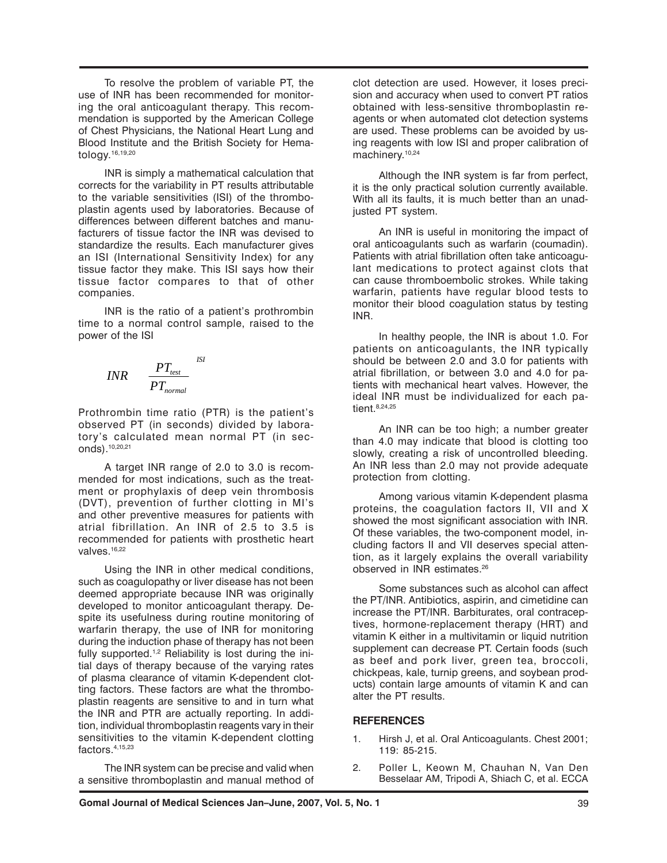To resolve the problem of variable PT, the use of INR has been recommended for monitoring the oral anticoagulant therapy. This recommendation is supported by the American College of Chest Physicians, the National Heart Lung and Blood Institute and the British Society for Hematology.16,19,20

INR is simply a mathematical calculation that corrects for the variability in PT results attributable to the variable sensitivities (ISI) of the thromboplastin agents used by laboratories. Because of differences between different batches and manufacturers of tissue factor the INR was devised to standardize the results. Each manufacturer gives an ISI (International Sensitivity Index) for any tissue factor they make. This ISI says how their tissue factor compares to that of other companies.

INR is the ratio of a patient's prothrombin time to a normal control sample, raised to the power of the ISI

$$
INR \qquad \frac{PT_{test}}{PT_{normal}}
$$

Prothrombin time ratio (PTR) is the patient's observed PT (in seconds) divided by laboratory's calculated mean normal PT (in seconds).10,20,21

A target INR range of 2.0 to 3.0 is recommended for most indications, such as the treatment or prophylaxis of deep vein thrombosis (DVT), prevention of further clotting in MI's and other preventive measures for patients with atrial fibrillation. An INR of 2.5 to 3.5 is recommended for patients with prosthetic heart valves.<sup>16,22</sup>

Using the INR in other medical conditions, such as coagulopathy or liver disease has not been deemed appropriate because INR was originally developed to monitor anticoagulant therapy. Despite its usefulness during routine monitoring of warfarin therapy, the use of INR for monitoring during the induction phase of therapy has not been fully supported.<sup>1,2</sup> Reliability is lost during the initial days of therapy because of the varying rates of plasma clearance of vitamin K-dependent clotting factors. These factors are what the thromboplastin reagents are sensitive to and in turn what the INR and PTR are actually reporting. In addition, individual thromboplastin reagents vary in their sensitivities to the vitamin K-dependent clotting factors.4,15,23

The INR system can be precise and valid when a sensitive thromboplastin and manual method of clot detection are used. However, it loses precision and accuracy when used to convert PT ratios obtained with less-sensitive thromboplastin reagents or when automated clot detection systems are used. These problems can be avoided by using reagents with low ISI and proper calibration of machinery.<sup>10,24</sup>

Although the INR system is far from perfect, it is the only practical solution currently available. With all its faults, it is much better than an unadjusted PT system.

An INR is useful in monitoring the impact of oral anticoagulants such as warfarin (coumadin). Patients with atrial fibrillation often take anticoagulant medications to protect against clots that can cause thromboembolic strokes. While taking warfarin, patients have regular blood tests to monitor their blood coagulation status by testing INR.

In healthy people, the INR is about 1.0. For patients on anticoagulants, the INR typically should be between 2.0 and 3.0 for patients with atrial fibrillation, or between 3.0 and 4.0 for patients with mechanical heart valves. However, the ideal INR must be individualized for each patient. 8,24,25

An INR can be too high; a number greater than 4.0 may indicate that blood is clotting too slowly, creating a risk of uncontrolled bleeding. An INR less than 2.0 may not provide adequate protection from clotting.

Among various vitamin K-dependent plasma proteins, the coagulation factors II, VII and X showed the most significant association with INR. Of these variables, the two-component model, including factors II and VII deserves special attention, as it largely explains the overall variability observed in INR estimates.26

Some substances such as alcohol can affect the PT/INR. Antibiotics, aspirin, and cimetidine can increase the PT/INR. Barbiturates, oral contraceptives, hormone-replacement therapy (HRT) and vitamin K either in a multivitamin or liquid nutrition supplement can decrease PT. Certain foods (such as beef and pork liver, green tea, broccoli, chickpeas, kale, turnip greens, and soybean products) contain large amounts of vitamin K and can alter the PT results.

# **REFERENCES**

- 1. Hirsh J, et al. Oral Anticoagulants. Chest 2001; 119: 85-215.
- 2. Poller L, Keown M, Chauhan N, Van Den Besselaar AM, Tripodi A, Shiach C, et al. ECCA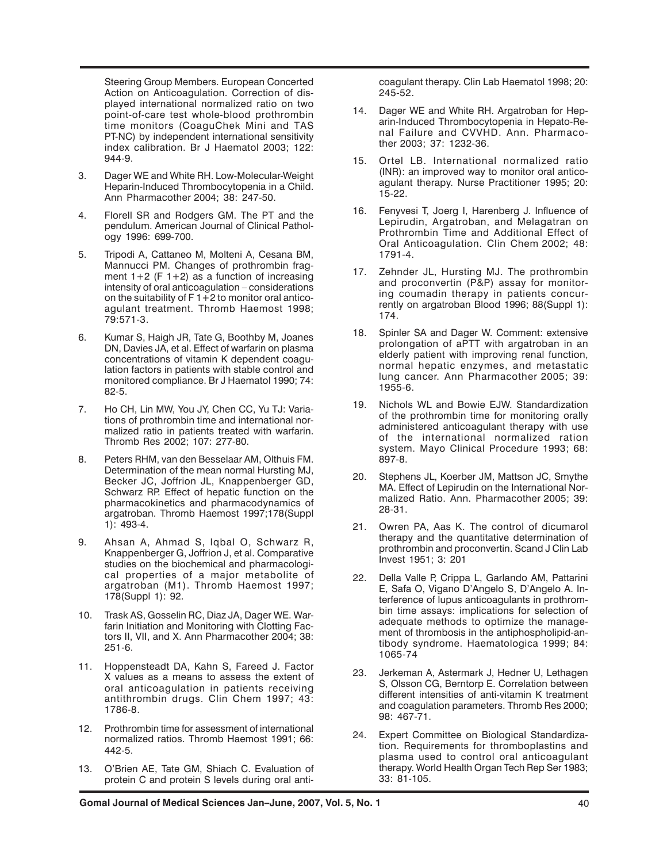Steering Group Members. European Concerted Action on Anticoagulation. Correction of displayed international normalized ratio on two point-of-care test whole-blood prothrombin time monitors (CoaguChek Mini and TAS PT-NC) by independent international sensitivity index calibration. Br J Haematol 2003; 122: 944-9.

- 3. Dager WE and White RH. Low-Molecular-Weight Heparin-Induced Thrombocytopenia in a Child. Ann Pharmacother 2004; 38: 247-50.
- 4. Florell SR and Rodgers GM. The PT and the pendulum. American Journal of Clinical Pathology 1996: 699-700.
- 5. Tripodi A, Cattaneo M, Molteni A, Cesana BM, Mannucci PM. Changes of prothrombin fragment  $1+2$  (F  $1+2$ ) as a function of increasing intensity of oral anticoagulation – considerations on the suitability of F 1  $+2$  to monitor oral anticoagulant treatment. Thromb Haemost 1998; 79:571-3.
- 6. Kumar S, Haigh JR, Tate G, Boothby M, Joanes DN, Davies JA, et al. Effect of warfarin on plasma concentrations of vitamin K dependent coagulation factors in patients with stable control and monitored compliance. Br J Haematol 1990; 74: 82-5.
- 7. Ho CH, Lin MW, You JY, Chen CC, Yu TJ: Variations of prothrombin time and international normalized ratio in patients treated with warfarin. Thromb Res 2002; 107: 277-80.
- 8. Peters RHM, van den Besselaar AM, Olthuis FM. Determination of the mean normal Hursting MJ, Becker JC, Joffrion JL, Knappenberger GD, Schwarz RP. Effect of hepatic function on the pharmacokinetics and pharmacodynamics of argatroban. Thromb Haemost 1997;178(Suppl 1): 493-4.
- 9. Ahsan A, Ahmad S, Iqbal O, Schwarz R, Knappenberger G, Joffrion J, et al. Comparative studies on the biochemical and pharmacological properties of a major metabolite of argatroban (M1). Thromb Haemost 1997; 178(Suppl 1): 92.
- 10. Trask AS, Gosselin RC, Diaz JA, Dager WE. Warfarin Initiation and Monitoring with Clotting Factors II, VII, and X. Ann Pharmacother 2004; 38: 251-6.
- 11. Hoppensteadt DA, Kahn S, Fareed J. Factor X values as a means to assess the extent of oral anticoagulation in patients receiving antithrombin drugs. Clin Chem 1997; 43: 1786-8.
- 12. Prothrombin time for assessment of international normalized ratios. Thromb Haemost 1991; 66: 442-5.
- 13. O'Brien AE, Tate GM, Shiach C. Evaluation of protein C and protein S levels during oral anti-

coagulant therapy. Clin Lab Haematol 1998; 20: 245-52.

- 14. Dager WE and White RH. Argatroban for Heparin-Induced Thrombocytopenia in Hepato-Renal Failure and CVVHD. Ann. Pharmacother 2003; 37: 1232-36.
- 15. Ortel LB. International normalized ratio (INR): an improved way to monitor oral anticoagulant therapy. Nurse Practitioner 1995; 20: 15-22.
- 16. Fenyvesi T, Joerg I, Harenberg J. Influence of Lepirudin, Argatroban, and Melagatran on Prothrombin Time and Additional Effect of Oral Anticoagulation. Clin Chem 2002; 48: 1791-4.
- 17. Zehnder JL, Hursting MJ. The prothrombin and proconvertin (P&P) assay for monitoring coumadin therapy in patients concurrently on argatroban Blood 1996; 88(Suppl 1): 174.
- 18. Spinler SA and Dager W. Comment: extensive prolongation of aPTT with argatroban in an elderly patient with improving renal function, normal hepatic enzymes, and metastatic lung cancer. Ann Pharmacother 2005; 39: 1955-6.
- 19. Nichols WL and Bowie EJW. Standardization of the prothrombin time for monitoring orally administered anticoagulant therapy with use of the international normalized ration system. Mayo Clinical Procedure 1993; 68: 897-8.
- 20. Stephens JL, Koerber JM, Mattson JC, Smythe MA. Effect of Lepirudin on the International Normalized Ratio. Ann. Pharmacother 2005; 39: 28-31.
- 21. Owren PA, Aas K. The control of dicumarol therapy and the quantitative determination of prothrombin and proconvertin. Scand J Clin Lab Invest 1951; 3: 201
- 22. Della Valle P, Crippa L, Garlando AM, Pattarini E, Safa O, Vigano D'Angelo S, D'Angelo A. Interference of lupus anticoagulants in prothrombin time assays: implications for selection of adequate methods to optimize the management of thrombosis in the antiphospholipid-antibody syndrome. Haematologica 1999; 84: 1065-74
- 23. Jerkeman A, Astermark J, Hedner U, Lethagen S, Olsson CG, Berntorp E. Correlation between different intensities of anti-vitamin K treatment and coagulation parameters. Thromb Res 2000; 98: 467-71.
- 24. Expert Committee on Biological Standardization. Requirements for thromboplastins and plasma used to control oral anticoagulant therapy. World Health Organ Tech Rep Ser 1983; 33: 81-105.